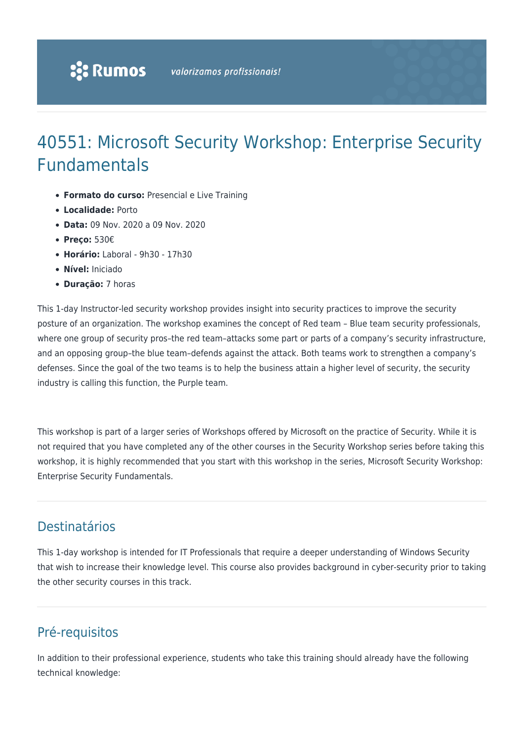# 40551: Microsoft Security Workshop: Enterprise Security Fundamentals

- **Formato do curso:** Presencial e Live Training
- **Localidade:** Porto
- **Data:** 09 Nov. 2020 a 09 Nov. 2020
- **Preço:** 530€
- **Horário:** Laboral 9h30 17h30
- **Nível:** Iniciado
- **Duração:** 7 horas

This 1-day Instructor-led security workshop provides insight into security practices to improve the security posture of an organization. The workshop examines the concept of Red team – Blue team security professionals, where one group of security pros–the red team–attacks some part or parts of a company's security infrastructure, and an opposing group–the blue team–defends against the attack. Both teams work to strengthen a company's defenses. Since the goal of the two teams is to help the business attain a higher level of security, the security industry is calling this function, the Purple team.

This workshop is part of a larger series of Workshops offered by Microsoft on the practice of Security. While it is not required that you have completed any of the other courses in the Security Workshop series before taking this workshop, it is highly recommended that you start with this workshop in the series, Microsoft Security Workshop: Enterprise Security Fundamentals.

## Destinatários

This 1-day workshop is intended for IT Professionals that require a deeper understanding of Windows Security that wish to increase their knowledge level. This course also provides background in cyber-security prior to taking the other security courses in this track.

# Pré-requisitos

In addition to their professional experience, students who take this training should already have the following technical knowledge: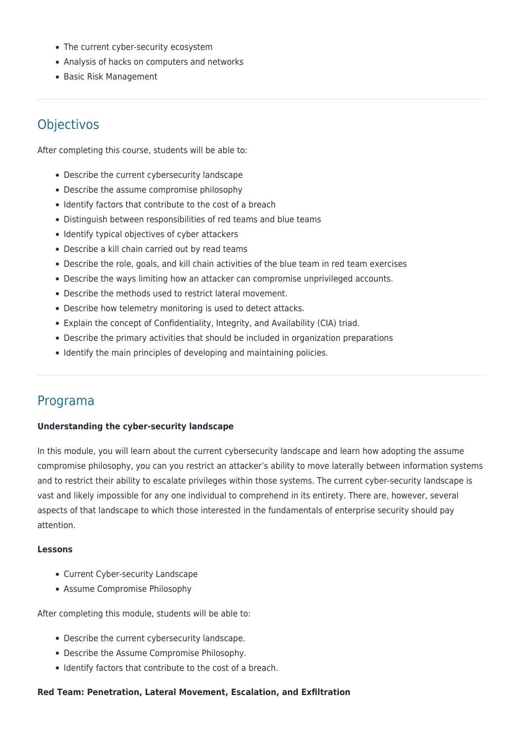- The current cyber-security ecosystem
- Analysis of hacks on computers and networks
- Basic Risk Management

# **Objectivos**

After completing this course, students will be able to:

- Describe the current cybersecurity landscape
- Describe the assume compromise philosophy
- Identify factors that contribute to the cost of a breach
- Distinguish between responsibilities of red teams and blue teams
- Identify typical objectives of cyber attackers
- Describe a kill chain carried out by read teams
- Describe the role, goals, and kill chain activities of the blue team in red team exercises
- Describe the ways limiting how an attacker can compromise unprivileged accounts.
- Describe the methods used to restrict lateral movement.
- Describe how telemetry monitoring is used to detect attacks.
- Explain the concept of Confidentiality, Integrity, and Availability (CIA) triad.
- Describe the primary activities that should be included in organization preparations
- Identify the main principles of developing and maintaining policies.

### Programa

#### **Understanding the cyber-security landscape**

In this module, you will learn about the current cybersecurity landscape and learn how adopting the assume compromise philosophy, you can you restrict an attacker's ability to move laterally between information systems and to restrict their ability to escalate privileges within those systems. The current cyber-security landscape is vast and likely impossible for any one individual to comprehend in its entirety. There are, however, several aspects of that landscape to which those interested in the fundamentals of enterprise security should pay attention.

#### **Lessons**

- Current Cyber-security Landscape
- Assume Compromise Philosophy

After completing this module, students will be able to:

- Describe the current cybersecurity landscape.
- Describe the Assume Compromise Philosophy.
- Identify factors that contribute to the cost of a breach.

#### **Red Team: Penetration, Lateral Movement, Escalation, and Exfiltration**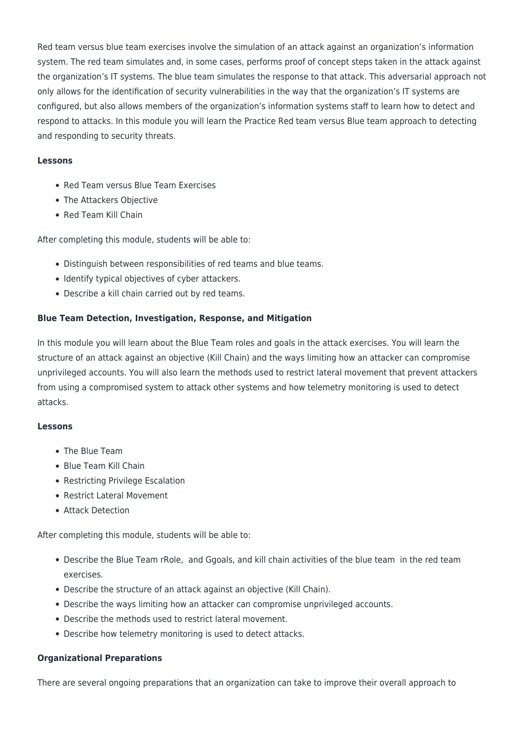Red team versus blue team exercises involve the simulation of an attack against an organization's information system. The red team simulates and, in some cases, performs proof of concept steps taken in the attack against the organization's IT systems. The blue team simulates the response to that attack. This adversarial approach not only allows for the identification of security vulnerabilities in the way that the organization's IT systems are configured, but also allows members of the organization's information systems staff to learn how to detect and respond to attacks. In this module you will learn the Practice Red team versus Blue team approach to detecting and responding to security threats.

#### **Lessons**

- Red Team versus Blue Team Exercises
- The Attackers Objective
- Red Team Kill Chain

After completing this module, students will be able to:

- Distinguish between responsibilities of red teams and blue teams.
- Identify typical objectives of cyber attackers.
- Describe a kill chain carried out by red teams.

#### **Blue Team Detection, Investigation, Response, and Mitigation**

In this module you will learn about the Blue Team roles and goals in the attack exercises. You will learn the structure of an attack against an objective (Kill Chain) and the ways limiting how an attacker can compromise unprivileged accounts. You will also learn the methods used to restrict lateral movement that prevent attackers from using a compromised system to attack other systems and how telemetry monitoring is used to detect attacks.

#### **Lessons**

- The Blue Team
- Blue Team Kill Chain
- Restricting Privilege Escalation
- Restrict Lateral Movement
- Attack Detection

After completing this module, students will be able to:

- Describe the Blue Team rRole, and Ggoals, and kill chain activities of the blue team in the red team exercises.
- Describe the structure of an attack against an objective (Kill Chain).
- Describe the ways limiting how an attacker can compromise unprivileged accounts.
- Describe the methods used to restrict lateral movement.
- Describe how telemetry monitoring is used to detect attacks.

#### **Organizational Preparations**

There are several ongoing preparations that an organization can take to improve their overall approach to